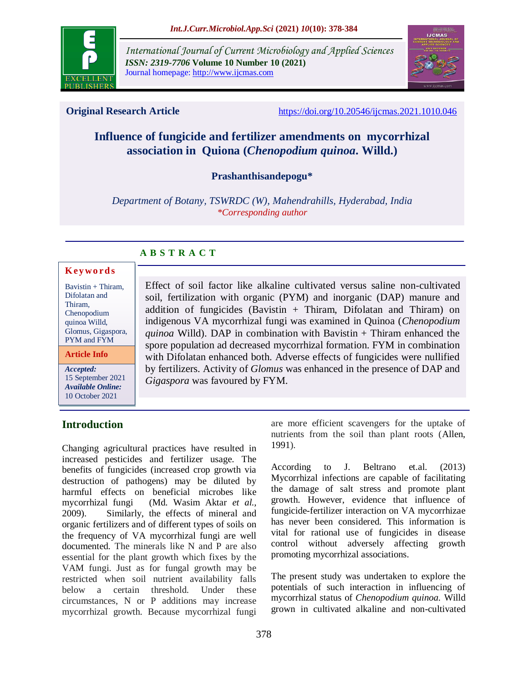

*International Journal of Current Microbiology and Applied Sciences ISSN: 2319-7706* **Volume 10 Number 10 (2021)**  Journal homepage: http://www.ijcmas.com



**Original Research Article** <https://doi.org/10.20546/ijcmas.2021.1010.046>

# **Influence of fungicide and fertilizer amendments on mycorrhizal association in Quiona (***Chenopodium quinoa***. Willd.)**

# **Prashanthisandepogu\***

*Department of Botany, TSWRDC (W), Mahendrahills, Hyderabad, India \*Corresponding author*

# **A B S T R A C T**

#### **K ey w o rd s**

Bavistin + Thiram, Difolatan and Thiram, Chenopodium quinoa Willd, Glomus, Gigaspora, PYM and FYM

**Article Info**

*Accepted:*  15 September 2021 *Available Online:* 10 October 2021

# **Introduction**

Changing agricultural practices have resulted in increased pesticides and fertilizer usage. The benefits of fungicides (increased crop growth via destruction of pathogens) may be diluted by harmful effects on beneficial microbes like mycorrhizal fungi [\(Md. Wasim Aktar](https://www.ncbi.nlm.nih.gov/pubmed/?term=Aktar%20MW%5BAuthor%5D&cauthor=true&cauthor_uid=21217838) *et al.,* 2009). Similarly, the effects of mineral and organic fertilizers and of different types of soils on the frequency of VA mycorrhizal fungi are well documented. The minerals like N and P are also essential for the plant growth which fixes by the VAM fungi. Just as for fungal growth may be restricted when soil nutrient availability falls below a certain threshold. Under these circumstances, N or P additions may increase mycorrhizal growth. Because mycorrhizal fungi

Effect of soil factor like alkaline cultivated versus saline non-cultivated soil, fertilization with organic (PYM) and inorganic (DAP) manure and addition of fungicides (Bavistin + Thiram, Difolatan and Thiram) on indigenous VA mycorrhizal fungi was examined in Quinoa (*Chenopodium quinoa* Willd). DAP in combination with Bavistin + Thiram enhanced the spore population ad decreased mycorrhizal formation. FYM in combination with Difolatan enhanced both. Adverse effects of fungicides were nullified by fertilizers. Activity of *Glomus* was enhanced in the presence of DAP and *Gigaspora* was favoured by FYM.

> are more efficient scavengers for the uptake of nutrients from the soil than plant roots [\(Allen,](https://nph.onlinelibrary.wiley.com/doi/10.1046/j.1469-8137.2002.00470.x#b9)  [1991\)](https://nph.onlinelibrary.wiley.com/doi/10.1046/j.1469-8137.2002.00470.x#b9).

> According to J. Beltrano et.al. (2013) Mycorrhizal infections are capable of facilitating the damage of salt stress and promote plant growth. However, evidence that influence of fungicide-fertilizer interaction on VA mycorrhizae has never been considered. This information is vital for rational use of fungicides in disease control without adversely affecting growth promoting mycorrhizal associations.

> The present study was undertaken to explore the potentials of such interaction in influencing of mycorrhizal status of *Chenopodium quinoa.* Willd grown in cultivated alkaline and non-cultivated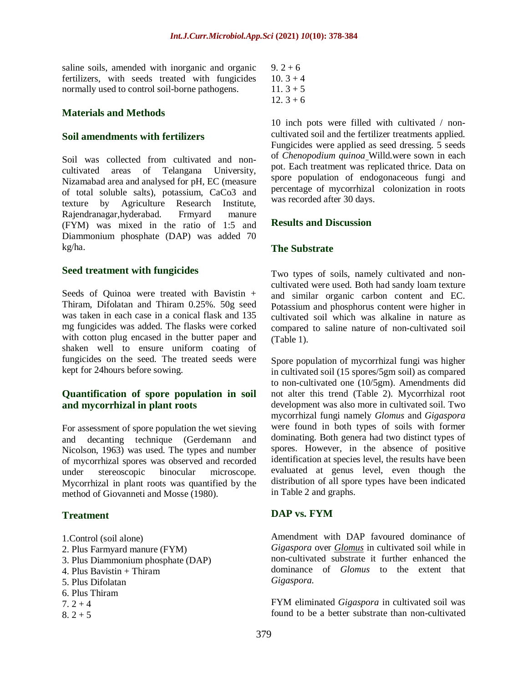saline soils, amended with inorganic and organic fertilizers, with seeds treated with fungicides normally used to control soil-borne pathogens.

#### **Materials and Methods**

#### **Soil amendments with fertilizers**

Soil was collected from cultivated and noncultivated areas of Telangana University, Nizamabad area and analysed for pH, EC (measure of total soluble salts), potassium, CaCo3 and texture by Agriculture Research Institute, Rajendranagar,hyderabad. Frmyard manure (FYM) was mixed in the ratio of 1:5 and Diammonium phosphate (DAP) was added 70 kg/ha.

#### **Seed treatment with fungicides**

Seeds of Quinoa were treated with Bavistin + Thiram, Difolatan and Thiram 0.25%. 50g seed was taken in each case in a conical flask and 135 mg fungicides was added. The flasks were corked with cotton plug encased in the butter paper and shaken well to ensure uniform coating of fungicides on the seed. The treated seeds were kept for 24hours before sowing.

# **Quantification of spore population in soil and mycorrhizal in plant roots**

For assessment of spore population the wet sieving and decanting technique (Gerdemann and Nicolson, 1963) was used. The types and number of mycorrhizal spores was observed and recorded under stereoscopic binocular microscope. Mycorrhizal in plant roots was quantified by the method of Giovanneti and Mosse (1980).

#### **Treatment**

- 1.Control (soil alone)
- 2. Plus Farmyard manure (FYM)
- 3. Plus Diammonium phosphate (DAP)
- 4. Plus Bavistin + Thiram
- 5. Plus Difolatan
- 6. Plus Thiram
- $7.2 + 4$
- $8.2 + 5$
- $9.2 + 6$  $10.3 + 4$  $11.3 + 5$
- $12.3 + 6$

10 inch pots were filled with cultivated / noncultivated soil and the fertilizer treatments applied. Fungicides were applied as seed dressing. 5 seeds of *Chenopodium quinoa* Willd.were sown in each pot. Each treatment was replicated thrice. Data on spore population of endogonaceous fungi and percentage of mycorrhizal colonization in roots was recorded after 30 days.

### **Results and Discussion**

### **The Substrate**

Two types of soils, namely cultivated and noncultivated were used. Both had sandy loam texture and similar organic carbon content and EC. Potassium and phosphorus content were higher in cultivated soil which was alkaline in nature as compared to saline nature of non-cultivated soil (Table 1).

Spore population of mycorrhizal fungi was higher in cultivated soil (15 spores/5gm soil) as compared to non-cultivated one (10/5gm). Amendments did not alter this trend (Table 2). Mycorrhizal root development was also more in cultivated soil. Two mycorrhizal fungi namely *Glomus* and *Gigaspora* were found in both types of soils with former dominating. Both genera had two distinct types of spores. However, in the absence of positive identification at species level, the results have been evaluated at genus level, even though the distribution of all spore types have been indicated in Table 2 and graphs.

#### **DAP vs. FYM**

Amendment with DAP favoured dominance of *Gigaspora* over *Glomus* in cultivated soil while in non-cultivated substrate it further enhanced the dominance of *Glomus* to the extent that *Gigaspora.*

FYM eliminated *Gigaspora* in cultivated soil was found to be a better substrate than non-cultivated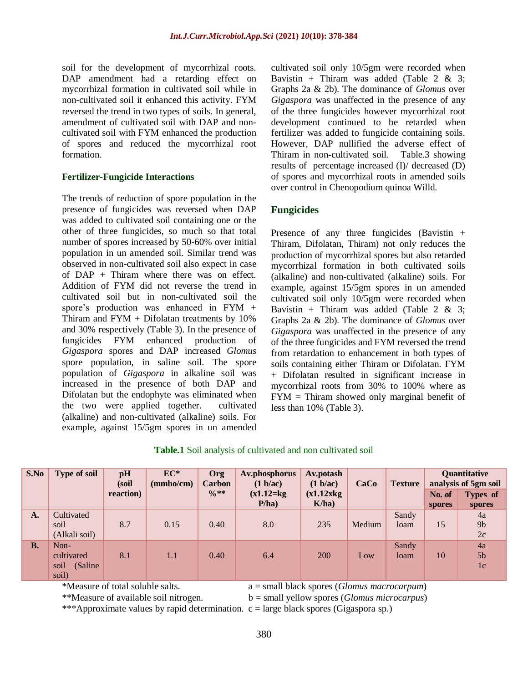soil for the development of mycorrhizal roots. DAP amendment had a retarding effect on mycorrhizal formation in cultivated soil while in non-cultivated soil it enhanced this activity. FYM reversed the trend in two types of soils. In general, amendment of cultivated soil with DAP and noncultivated soil with FYM enhanced the production of spores and reduced the mycorrhizal root formation.

#### **Fertilizer-Fungicide Interactions**

The trends of reduction of spore population in the presence of fungicides was reversed when DAP was added to cultivated soil containing one or the other of three fungicides, so much so that total number of spores increased by 50-60% over initial population in un amended soil. Similar trend was observed in non-cultivated soil also expect in case of DAP + Thiram where there was on effect. Addition of FYM did not reverse the trend in cultivated soil but in non-cultivated soil the spore's production was enhanced in FYM + Thiram and FYM + Difolatan treatments by 10% and 30% respectively (Table 3). In the presence of fungicides FYM enhanced production of *Gigaspora* spores and DAP increased *Glomus*  spore population, in saline soil. The spore population of *Gigaspora* in alkaline soil was increased in the presence of both DAP and Difolatan but the endophyte was eliminated when the two were applied together. cultivated (alkaline) and non-cultivated (alkaline) soils. For example, against 15/5gm spores in un amended cultivated soil only 10/5gm were recorded when Bavistin + Thiram was added (Table 2  $\&$  3; Graphs 2a & 2b). The dominance of *Glomus* over *Gigaspora* was unaffected in the presence of any of the three fungicides however mycorrhizal root development continued to be retarded when fertilizer was added to fungicide containing soils. However, DAP nullified the adverse effect of Thiram in non-cultivated soil. Table.3 showing results of percentage increased (I)/ decreased (D) of spores and mycorrhizal roots in amended soils over control in Chenopodium quinoa Willd.

# **Fungicides**

Presence of any three fungicides (Bavistin + Thiram, Difolatan, Thiram) not only reduces the production of mycorrhizal spores but also retarded mycorrhizal formation in both cultivated soils (alkaline) and non-cultivated (alkaline) soils. For example, against 15/5gm spores in un amended cultivated soil only 10/5gm were recorded when Bavistin + Thiram was added (Table 2  $\&$  3; Graphs 2a & 2b). The dominance of *Glomus* over *Gigaspora* was unaffected in the presence of any of the three fungicides and FYM reversed the trend from retardation to enhancement in both types of soils containing either Thiram or Difolatan. FYM + Difolatan resulted in significant increase in mycorrhizal roots from 30% to 100% where as FYM = Thiram showed only marginal benefit of less than 10% (Table 3).

#### **Table.1** Soil analysis of cultivated and non cultivated soil

| S.No           | <b>Type of soil</b>                             | pH<br>(soil | $EC^*$<br>(mmho/cm) | Org<br><b>Carbon</b> | Av.phosphorus<br>(1 b/ac) | <b>Av.potash</b><br>(1 b/ac) | CaCo   | <b>Texture</b> | Quantitative<br>analysis of 5gm soil |                            |
|----------------|-------------------------------------------------|-------------|---------------------|----------------------|---------------------------|------------------------------|--------|----------------|--------------------------------------|----------------------------|
|                |                                                 | reaction)   |                     | $\frac{0}{0}$ **     | $(x1.12=kg)$<br>P/ha)     | (x1.12xkg)<br>K/ha)          |        |                | No. of<br>spores                     | Types of<br>spores         |
| $\mathbf{A}$ . | Cultivated<br>soil<br>(Alkali soil)             | 8.7         | 0.15                | 0.40                 | 8.0                       | 235                          | Medium | Sandy<br>loam  | 15                                   | 4a<br>9 <sub>b</sub><br>2c |
| <b>B.</b>      | Non-<br>cultivated<br>soil<br>(Saline)<br>soil) | 8.1         | 1.1                 | 0.40                 | 6.4                       | <b>200</b>                   | Low    | Sandy<br>loam  | 10                                   | 4a<br>5 <sub>b</sub><br>1c |

\*Measure of total soluble salts. a = small black spores (*Glomus macrocarpum*)

\*\*Measure of available soil nitrogen. b = small yellow spores (*Glomus microcarpus*)

\*\*\*Approximate values by rapid determination. c = large black spores (Gigaspora sp.)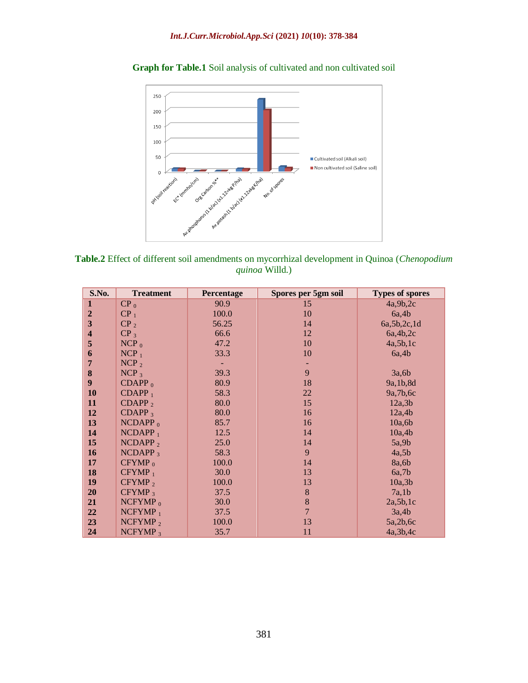

**Graph for Table.1** Soil analysis of cultivated and non cultivated soil



| S.No.                   | <b>Treatment</b>   | <b>Percentage</b> | Spores per 5gm soil | <b>Types of spores</b> |  |  |
|-------------------------|--------------------|-------------------|---------------------|------------------------|--|--|
| 1                       | $CP_0$             | 90.9              | 15                  | 4a,9b,2c               |  |  |
| $\overline{2}$          | CP <sub>1</sub>    | 100.0             | 10                  | 6a,4b                  |  |  |
| $\overline{\mathbf{3}}$ | CP <sub>2</sub>    | 56.25             | 14                  | 6a, 5b, 2c, 1d         |  |  |
| $\overline{\mathbf{4}}$ | CP <sub>3</sub>    | 66.6              | 12                  | 6a,4b,2c               |  |  |
| 5                       | $NCP_0$            | 47.2              | 10                  | 4a,5b,1c               |  |  |
| 6                       | $NCP_1$            | 33.3              | 10                  | 6a,4b                  |  |  |
| $\overline{7}$          | $NCP_2$            |                   |                     |                        |  |  |
| 8                       | $NCP_3$            | 39.3              | 9                   | 3a,6b                  |  |  |
| 9 <sup>°</sup>          | $CDAPP_0$          | 80.9              | 18                  | 9a, 1b, 8d             |  |  |
| 10                      | $CDAPP_1$          | 58.3              | 22                  | 9a, 7b, 6c             |  |  |
| <b>11</b>               | $CDAPP_2$          | 80.0              | 15                  | 12a,3b                 |  |  |
| <b>12</b>               | CDAPP <sub>3</sub> | 80.0              | 16                  | 12a,4b                 |  |  |
| 13                      | $NCDAPP_0$         | 85.7              | 16                  | 10a,6b                 |  |  |
| 14                      | $NCDAPP_1$         | 12.5              | 14                  | 10a,4b                 |  |  |
| <b>15</b>               | $NCDAPP_2$         | 25.0              | 14                  | 5a,9b                  |  |  |
| <b>16</b>               | $NCDAPP_3$         | 58.3              | 9                   | 4a,5b                  |  |  |
| 17                      | $CFYMP_0$          | 100.0             | 14                  | 8a,6b                  |  |  |
| 18                      | $CFYMP_1$          | 30.0              | 13                  | 6a,7b                  |  |  |
| 19                      | $CFYMP_2$          | 100.0             | 13                  | 10a,3b                 |  |  |
| 20                      | $CFYMP_3$          | 37.5              | $\bf 8$             | 7a,1b                  |  |  |
| 21                      | NCFYMP $_0$        | 30.0              | 8                   | 2a,5b,1c               |  |  |
| 22                      | $NCFYMP_1$         | 37.5              | $\overline{7}$      | 3a,4b                  |  |  |
| 23                      | NCFYMP $_2$        | 100.0             | 13                  | 5a,2b,6c               |  |  |
| 24                      | $NCFYMP_3$         | 35.7              | 11                  | 4a, 3b, 4c             |  |  |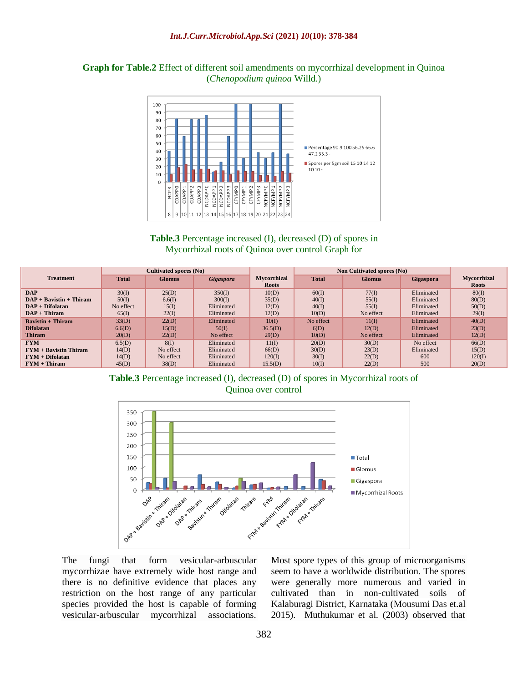

**Graph for Table.2** Effect of different soil amendments on mycorrhizal development in Quinoa (*Chenopodium quinoa* Willd.)



|                           |              | Cultivated spores (No) |                  |                                    | Non Cultivated spores (No) |               |                  |                                    |
|---------------------------|--------------|------------------------|------------------|------------------------------------|----------------------------|---------------|------------------|------------------------------------|
| <b>Treatment</b>          | <b>Total</b> | <b>Glomus</b>          | <b>Gigaspora</b> | <b>Mvcorrhizal</b><br><b>Roots</b> | <b>Total</b>               | <b>Glomus</b> | <b>Gigaspora</b> | <b>Mvcorrhizal</b><br><b>Roots</b> |
| <b>DAP</b>                | 30(I)        | 25(D)                  | 350(I)           | 10(D)                              | 60(I)                      | 77(I)         | Eliminated       | 80(I)                              |
| $DAP + Bavistin + Thiram$ | 50(I)        | 6.6(I)                 | 300(I)           | 35(D)                              | 40(I)                      | 55(I)         | Eliminated       | 80(D)                              |
| $DAP + Difolatan$         | No effect    | 15(I)                  | Eliminated       | 12(D)                              | 40(I)                      | 55(I)         | Eliminated       | 50(D)                              |
| $DAP + Thiram$            | 65(I)        | 22(I)                  | Eliminated       | 12(D)                              | 10(D)                      | No effect     | Eliminated       | 29(I)                              |
| <b>Bavistin + Thiram</b>  | 33(D)        | 22(D)                  | Eliminated       | 10(I)                              | No effect                  | 11(I)         | Eliminated       | 40(D)                              |
| <b>Difolatan</b>          | 6.6(D)       | 15(D)                  | 50(I)            | 36.5(D)                            | 6(D)                       | 12(D)         | Eliminated       | 23(D)                              |
| Thiram                    | 20(D)        | 22(D)                  | No effect        | 29(D)                              | 10(D)                      | No effect     | Eliminated       | 12(D)                              |
| <b>FYM</b>                | 6.5(D)       | 8(1)                   | Eliminated       | $11($ D                            | 20(D)                      | 30(D)         | No effect        | 66(D)                              |
| $FYM + Bavistin Thiram$   | 14(D)        | No effect              | Eliminated       | 66(D)                              | 30(D)                      | 23(D)         | Eliminated       | 15(D)                              |
| $FYM + Difolatan$         | 14(D)        | No effect              | Eliminated       | 120(I)                             | 30(I)                      | 22(D)         | 600              | 120(I)                             |
| $FYM + Thiram$            | 45(D)        | 38(D)                  | Eliminated       | 15.5(D)                            | 10(I)                      | 22(D)         | 500              | 20(D)                              |

**Table.3** Percentage increased (I), decreased (D) of spores in Mycorrhizal roots of Quinoa over control



The fungi that form vesicular-arbuscular mycorrhizae have extremely wide host range and there is no definitive evidence that places any restriction on the host range of any particular species provided the host is capable of forming vesicular-arbuscular mycorrhizal associations.

Most spore types of this group of microorganisms seem to have a worldwide distribution. The spores were generally more numerous and varied in cultivated than in non-cultivated soils of Kalaburagi District, Karnataka (Mousumi Das et.al 2015). Muthukumar et al. (2003) observed that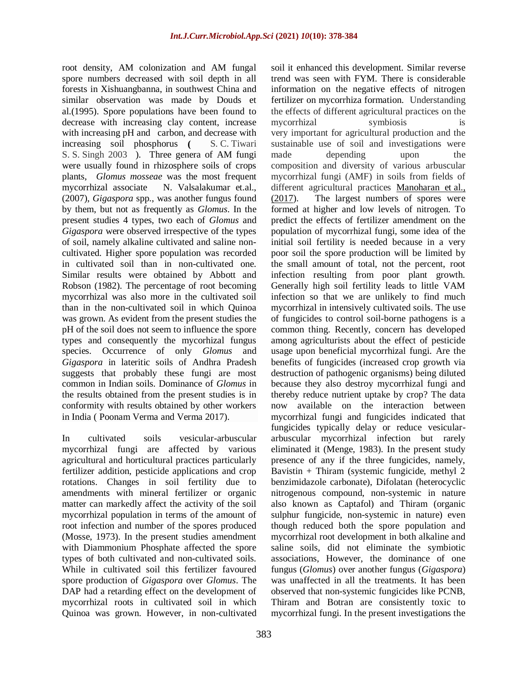root density, AM colonization and AM fungal spore numbers decreased with soil depth in all forests in Xishuangbanna, in southwest China and similar observation was made by Douds et al.(1995). Spore populations have been found to decrease with increasing clay content, increase with increasing pH and carbon, and decrease with increasing soil phosphorus **(** S. C. Tiwari S. S. Singh 2003 ). Three genera of AM fungi were usually found in rhizosphere soils of crops plants, *Glomus mosseae* was the most frequent mycorrhizal associate N. Valsalakumar et.al., (2007), *Gigaspora* spp., was another fungus found by them, but not as frequently as *Glomus*. In the present studies 4 types, two each of *Glomus* and *Gigaspora* were observed irrespective of the types of soil, namely alkaline cultivated and saline noncultivated. Higher spore population was recorded in cultivated soil than in non-cultivated one. Similar results were obtained by Abbott and Robson (1982). The percentage of root becoming mycorrhizal was also more in the cultivated soil than in the non-cultivated soil in which Quinoa was grown. As evident from the present studies the pH of the soil does not seem to influence the spore types and consequently the mycorhizal fungus species. Occurrence of only *Glomus* and *Gigaspora* in lateritic soils of Andhra Pradesh suggests that probably these fungi are most common in Indian soils. Dominance of *Glomus* in the results obtained from the present studies is in conformity with results obtained by other workers in India ( Poonam Verma and Verma 2017).

In cultivated soils vesicular-arbuscular mycorrhizal fungi are affected by various agricultural and horticultural practices particularly fertilizer addition, pesticide applications and crop rotations. Changes in soil fertility due to amendments with mineral fertilizer or organic matter can markedly affect the activity of the soil mycorrhizal population in terms of the amount of root infection and number of the spores produced (Mosse, 1973). In the present studies amendment with Diammonium Phosphate affected the spore types of both cultivated and non-cultivated soils. While in cultivated soil this fertilizer favoured spore production of *Gigaspora* over *Glomus*. The DAP had a retarding effect on the development of mycorrhizal roots in cultivated soil in which Quinoa was grown. However, in non-cultivated

soil it enhanced this development. Similar reverse trend was seen with FYM. There is considerable information on the negative effects of nitrogen fertilizer on mycorrhiza formation. Understanding the effects of different agricultural practices on the mycorrhizal symbiosis is very important for agricultural production and the sustainable use of soil and investigations were made depending upon the composition and diversity of various arbuscular mycorrhizal fungi (AMF) in soils from fields of different agricultural practices [Manoharan et](https://www.ncbi.nlm.nih.gov/pmc/articles/PMC6076214/#bib37) al., [\(2017\)](https://www.ncbi.nlm.nih.gov/pmc/articles/PMC6076214/#bib37). The largest numbers of spores were formed at higher and low levels of nitrogen. To predict the effects of fertilizer amendment on the population of mycorrhizal fungi, some idea of the initial soil fertility is needed because in a very poor soil the spore production will be limited by the small amount of total, not the percent, root infection resulting from poor plant growth. Generally high soil fertility leads to little VAM infection so that we are unlikely to find much mycorrhizal in intensively cultivated soils. The use of fungicides to control soil-borne pathogens is a common thing. Recently, concern has developed among agriculturists about the effect of pesticide usage upon beneficial mycorrhizal fungi. Are the benefits of fungicides (increased crop growth via destruction of pathogenic organisms) being diluted because they also destroy mycorrhizal fungi and thereby reduce nutrient uptake by crop? The data now available on the interaction between mycorrhizal fungi and fungicides indicated that fungicides typically delay or reduce vesiculararbuscular mycorrhizal infection but rarely eliminated it (Menge, 1983). In the present study presence of any if the three fungicides, namely, Bavistin + Thiram (systemic fungicide, methyl 2 benzimidazole carbonate), Difolatan (heterocyclic nitrogenous compound, non-systemic in nature also known as Captafol) and Thiram (organic sulphur fungicide, non-systemic in nature) even though reduced both the spore population and mycorrhizal root development in both alkaline and saline soils, did not eliminate the symbiotic associations, However, the dominance of one fungus (*Glomus*) over another fungus (*Gigaspora*) was unaffected in all the treatments. It has been observed that non-systemic fungicides like PCNB, Thiram and Botran are consistently toxic to mycorrhizal fungi. In the present investigations the